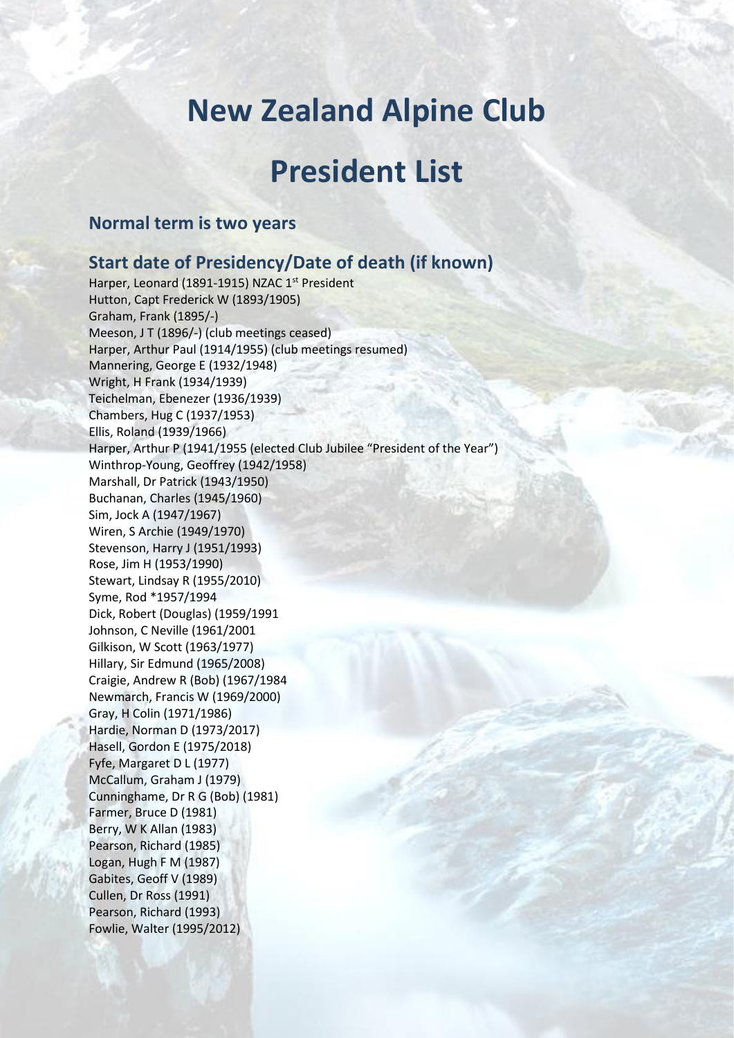## **New Zealand Alpine Club**

## **President List**

## **Normal term is two years**

## **Start date of Presidency/Date of death (if known)**

Harper, Leonard (1891-1915) NZAC 1<sup>st</sup> President Hutton, Capt Frederick W (1893/1905) Graham, Frank (1895/-) Meeson, J T (1896/-) (club meetings ceased) Harper, Arthur Paul (1914/1955) (club meetings resumed) Mannering, George E (1932/1948) Wright, H Frank (1934/1939) Teichelman, Ebenezer (1936/1939) Chambers, Hug C (1937/1953) Ellis, Roland (1939/1966) Harper, Arthur P (1941/1955 (elected Club Jubilee "President of the Year") Winthrop-Young, Geoffrey (1942/1958) Marshall, Dr Patrick (1943/1950) Buchanan, Charles (1945/1960) Sim, Jock A (1947/1967) Wiren, S Archie (1949/1970) Stevenson, Harry J (1951/1993) Rose, Jim H (1953/1990) Stewart, Lindsay R (1955/2010) Syme, Rod \*1957/1994 Dick, Robert (Douglas) (1959/1991 Johnson, C Neville (1961/2001 Gilkison, W Scott (1963/1977) Hillary, Sir Edmund (1965/2008) Craigie, Andrew R (Bob) (1967/1984 Newmarch, Francis W (1969/2000) Gray, H Colin (1971/1986) Hardie, Norman D (1973/2017) Hasell, Gordon E (1975/2018) Fyfe, Margaret D L (1977) McCallum, Graham J (1979) Cunninghame, Dr R G (Bob) (1981) Farmer, Bruce D (1981) Berry, W K Allan (1983) Pearson, Richard (1985) Logan, Hugh F M (1987) Gabites, Geoff V (1989) Cullen, Dr Ross (1991) Pearson, Richard (1993) Fowlie, Walter (1995/2012)